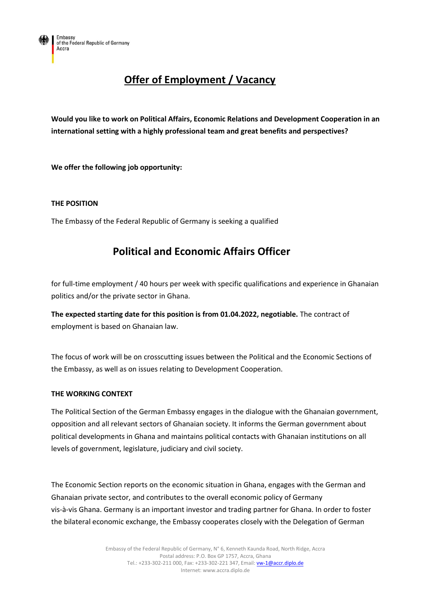# **Offer of Employment / Vacancy**

**Would you like to work on Political Affairs, Economic Relations and Development Cooperation in an international setting with a highly professional team and great benefits and perspectives?**

**We offer the following job opportunity:**

## **THE POSITION**

The Embassy of the Federal Republic of Germany is seeking a qualified

## **Political and Economic Affairs Officer**

for full-time employment / 40 hours per week with specific qualifications and experience in Ghanaian politics and/or the private sector in Ghana.

**The expected starting date for this position is from 01.04.2022, negotiable.** The contract of employment is based on Ghanaian law.

The focus of work will be on crosscutting issues between the Political and the Economic Sections of the Embassy, as well as on issues relating to Development Cooperation.

### **THE WORKING CONTEXT**

The Political Section of the German Embassy engages in the dialogue with the Ghanaian government, opposition and all relevant sectors of Ghanaian society. It informs the German government about political developments in Ghana and maintains political contacts with Ghanaian institutions on all levels of government, legislature, judiciary and civil society.

The Economic Section reports on the economic situation in Ghana, engages with the German and Ghanaian private sector, and contributes to the overall economic policy of Germany vis-à-vis Ghana. Germany is an important investor and trading partner for Ghana. In order to foster the bilateral economic exchange, the Embassy cooperates closely with the Delegation of German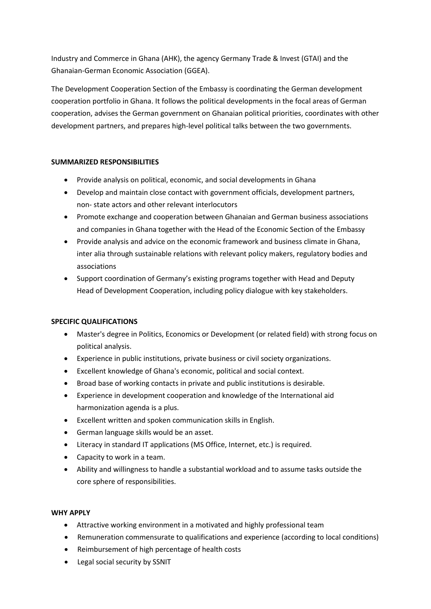Industry and Commerce in Ghana (AHK), the agency Germany Trade & Invest (GTAI) and the Ghanaian-German Economic Association (GGEA).

The Development Cooperation Section of the Embassy is coordinating the German development cooperation portfolio in Ghana. It follows the political developments in the focal areas of German cooperation, advises the German government on Ghanaian political priorities, coordinates with other development partners, and prepares high-level political talks between the two governments.

## **SUMMARIZED RESPONSIBILITIES**

- Provide analysis on political, economic, and social developments in Ghana
- Develop and maintain close contact with government officials, development partners, non- state actors and other relevant interlocutors
- Promote exchange and cooperation between Ghanaian and German business associations and companies in Ghana together with the Head of the Economic Section of the Embassy
- Provide analysis and advice on the economic framework and business climate in Ghana, inter alia through sustainable relations with relevant policy makers, regulatory bodies and associations
- Support coordination of Germany's existing programs together with Head and Deputy Head of Development Cooperation, including policy dialogue with key stakeholders.

## **SPECIFIC QUALIFICATIONS**

- Master's degree in Politics, Economics or Development (or related field) with strong focus on political analysis.
- Experience in public institutions, private business or civil society organizations.
- Excellent knowledge of Ghana's economic, political and social context.
- Broad base of working contacts in private and public institutions is desirable.
- Experience in development cooperation and knowledge of the International aid harmonization agenda is a plus.
- Excellent written and spoken communication skills in English.
- German language skills would be an asset.
- Literacy in standard IT applications (MS Office, Internet, etc.) is required.
- Capacity to work in a team.
- Ability and willingness to handle a substantial workload and to assume tasks outside the core sphere of responsibilities.

### **WHY APPLY**

- Attractive working environment in a motivated and highly professional team
- Remuneration commensurate to qualifications and experience (according to local conditions)
- Reimbursement of high percentage of health costs
- Legal social security by SSNIT